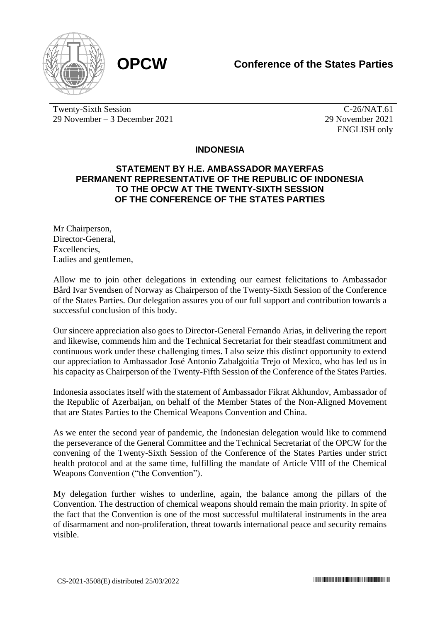



Twenty-Sixth Session 29 November – 3 December 2021

C-26/NAT.61 29 November 2021 ENGLISH only

## **INDONESIA**

## **STATEMENT BY H.E. AMBASSADOR MAYERFAS PERMANENT REPRESENTATIVE OF THE REPUBLIC OF INDONESIA TO THE OPCW AT THE TWENTY-SIXTH SESSION OF THE CONFERENCE OF THE STATES PARTIES**

Mr Chairperson, Director-General, **Excellencies** Ladies and gentlemen,

Allow me to join other delegations in extending our earnest felicitations to Ambassador Bård Ivar Svendsen of Norway as Chairperson of the Twenty-Sixth Session of the Conference of the States Parties. Our delegation assures you of our full support and contribution towards a successful conclusion of this body.

Our sincere appreciation also goes to Director-General Fernando Arias, in delivering the report and likewise, commends him and the Technical Secretariat for their steadfast commitment and continuous work under these challenging times. I also seize this distinct opportunity to extend our appreciation to Ambassador José Antonio Zabalgoitia Trejo of Mexico, who has led us in his capacity as Chairperson of the Twenty-Fifth Session of the Conference of the States Parties.

Indonesia associates itself with the statement of Ambassador Fikrat Akhundov, Ambassador of the Republic of Azerbaijan, on behalf of the Member States of the Non-Aligned Movement that are States Parties to the Chemical Weapons Convention and China.

As we enter the second year of pandemic, the Indonesian delegation would like to commend the perseverance of the General Committee and the Technical Secretariat of the OPCW for the convening of the Twenty-Sixth Session of the Conference of the States Parties under strict health protocol and at the same time, fulfilling the mandate of Article VIII of the Chemical Weapons Convention ("the Convention").

My delegation further wishes to underline, again, the balance among the pillars of the Convention. The destruction of chemical weapons should remain the main priority. In spite of the fact that the Convention is one of the most successful multilateral instruments in the area of disarmament and non-proliferation, threat towards international peace and security remains visible.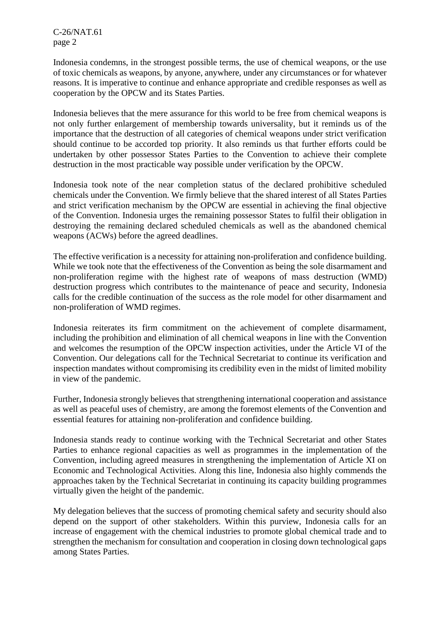C-26/NAT.61 page 2

Indonesia condemns, in the strongest possible terms, the use of chemical weapons, or the use of toxic chemicals as weapons, by anyone, anywhere, under any circumstances or for whatever reasons. It is imperative to continue and enhance appropriate and credible responses as well as cooperation by the OPCW and its States Parties.

Indonesia believes that the mere assurance for this world to be free from chemical weapons is not only further enlargement of membership towards universality, but it reminds us of the importance that the destruction of all categories of chemical weapons under strict verification should continue to be accorded top priority. It also reminds us that further efforts could be undertaken by other possessor States Parties to the Convention to achieve their complete destruction in the most practicable way possible under verification by the OPCW.

Indonesia took note of the near completion status of the declared prohibitive scheduled chemicals under the Convention. We firmly believe that the shared interest of all States Parties and strict verification mechanism by the OPCW are essential in achieving the final objective of the Convention. Indonesia urges the remaining possessor States to fulfil their obligation in destroying the remaining declared scheduled chemicals as well as the abandoned chemical weapons (ACWs) before the agreed deadlines.

The effective verification is a necessity for attaining non-proliferation and confidence building. While we took note that the effectiveness of the Convention as being the sole disarmament and non-proliferation regime with the highest rate of weapons of mass destruction (WMD) destruction progress which contributes to the maintenance of peace and security, Indonesia calls for the credible continuation of the success as the role model for other disarmament and non-proliferation of WMD regimes.

Indonesia reiterates its firm commitment on the achievement of complete disarmament, including the prohibition and elimination of all chemical weapons in line with the Convention and welcomes the resumption of the OPCW inspection activities, under the Article VI of the Convention. Our delegations call for the Technical Secretariat to continue its verification and inspection mandates without compromising its credibility even in the midst of limited mobility in view of the pandemic.

Further, Indonesia strongly believes that strengthening international cooperation and assistance as well as peaceful uses of chemistry, are among the foremost elements of the Convention and essential features for attaining non-proliferation and confidence building.

Indonesia stands ready to continue working with the Technical Secretariat and other States Parties to enhance regional capacities as well as programmes in the implementation of the Convention, including agreed measures in strengthening the implementation of Article XI on Economic and Technological Activities. Along this line, Indonesia also highly commends the approaches taken by the Technical Secretariat in continuing its capacity building programmes virtually given the height of the pandemic.

My delegation believes that the success of promoting chemical safety and security should also depend on the support of other stakeholders. Within this purview, Indonesia calls for an increase of engagement with the chemical industries to promote global chemical trade and to strengthen the mechanism for consultation and cooperation in closing down technological gaps among States Parties.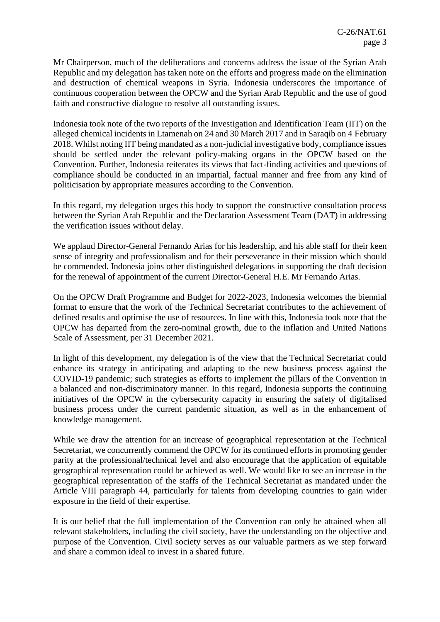Mr Chairperson, much of the deliberations and concerns address the issue of the Syrian Arab Republic and my delegation has taken note on the efforts and progress made on the elimination and destruction of chemical weapons in Syria. Indonesia underscores the importance of continuous cooperation between the OPCW and the Syrian Arab Republic and the use of good faith and constructive dialogue to resolve all outstanding issues.

Indonesia took note of the two reports of the Investigation and Identification Team (IIT) on the alleged chemical incidents in Ltamenah on 24 and 30 March 2017 and in Saraqib on 4 February 2018. Whilst noting IIT being mandated as a non-judicial investigative body, compliance issues should be settled under the relevant policy-making organs in the OPCW based on the Convention. Further, Indonesia reiterates its views that fact-finding activities and questions of compliance should be conducted in an impartial, factual manner and free from any kind of politicisation by appropriate measures according to the Convention.

In this regard, my delegation urges this body to support the constructive consultation process between the Syrian Arab Republic and the Declaration Assessment Team (DAT) in addressing the verification issues without delay.

We applaud Director-General Fernando Arias for his leadership, and his able staff for their keen sense of integrity and professionalism and for their perseverance in their mission which should be commended. Indonesia joins other distinguished delegations in supporting the draft decision for the renewal of appointment of the current Director-General H.E. Mr Fernando Arias.

On the OPCW Draft Programme and Budget for 2022-2023, Indonesia welcomes the biennial format to ensure that the work of the Technical Secretariat contributes to the achievement of defined results and optimise the use of resources. In line with this, Indonesia took note that the OPCW has departed from the zero-nominal growth, due to the inflation and United Nations Scale of Assessment, per 31 December 2021.

In light of this development, my delegation is of the view that the Technical Secretariat could enhance its strategy in anticipating and adapting to the new business process against the COVID-19 pandemic; such strategies as efforts to implement the pillars of the Convention in a balanced and non-discriminatory manner. In this regard, Indonesia supports the continuing initiatives of the OPCW in the cybersecurity capacity in ensuring the safety of digitalised business process under the current pandemic situation, as well as in the enhancement of knowledge management.

While we draw the attention for an increase of geographical representation at the Technical Secretariat, we concurrently commend the OPCW for its continued efforts in promoting gender parity at the professional/technical level and also encourage that the application of equitable geographical representation could be achieved as well. We would like to see an increase in the geographical representation of the staffs of the Technical Secretariat as mandated under the Article VIII paragraph 44, particularly for talents from developing countries to gain wider exposure in the field of their expertise.

It is our belief that the full implementation of the Convention can only be attained when all relevant stakeholders, including the civil society, have the understanding on the objective and purpose of the Convention. Civil society serves as our valuable partners as we step forward and share a common ideal to invest in a shared future.